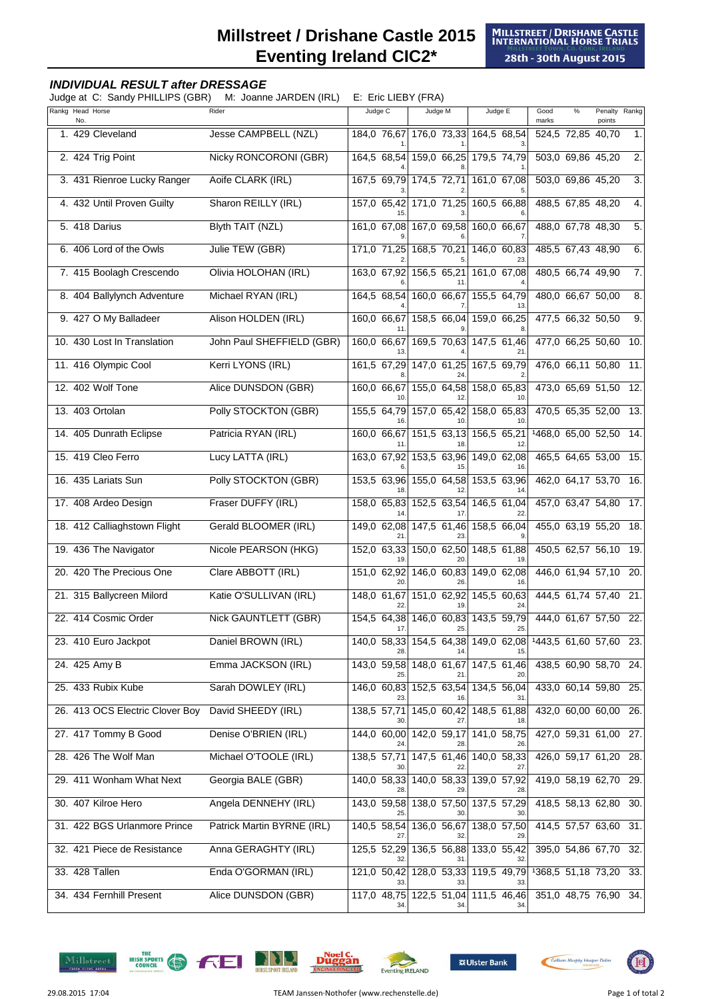## **Millstreet / Drishane Castle 2015 Eventing Ireland CIC2\***

## **INDIVIDUAL RESULT after DRESSAGE**

Judge at C: Sandy PHILLIPS (GBR) M: Joanne JARDEN (IRL) E: Eric LIEBY (FRA)

| Rankg Head Horse<br>No.         | Rider                       | Judge C            | Judge M                                    | Judge E                 | Good<br>$\%$<br>marks                                      | Penalty Rankg<br>points |                  |
|---------------------------------|-----------------------------|--------------------|--------------------------------------------|-------------------------|------------------------------------------------------------|-------------------------|------------------|
| 1. 429 Cleveland                | Jesse CAMPBELL (NZL)        | 184,0 76,67        | 176,0 73,33 164,5 68,54                    |                         | 524,5 72,85 40,70                                          |                         | 1.               |
| 2. 424 Trig Point               | Nicky RONCORONI (GBR)       | 164,5 68,54        | 159,0 66,25                                | 179,5 74,79             | 503,0 69,86 45,20                                          |                         | 2.               |
| 3. 431 Rienroe Lucky Ranger     | Aoife CLARK (IRL)           | 167,5 69,79        | 174,5 72,71                                | 161,0 67,08             | 503,0 69,86 45,20                                          |                         | $\overline{3}$ . |
| 4. 432 Until Proven Guilty      | Sharon REILLY (IRL)         | 157,0 65,42        | 171,0 71,25                                | 160,5 66,88             | 488,5 67,85 48,20                                          |                         | 4.               |
| 5. 418 Darius                   | <b>Blyth TAIT (NZL)</b>     |                    | 161,0 67,08 167,0 69,58                    | 160,0 66,67             | 488,0 67,78 48,30                                          |                         | $\overline{5}$ . |
| 6. 406 Lord of the Owls         | Julie TEW (GBR)             | 171,0 71,25        | 168,5 70,21                                | 146,0 60,83             | 485,5 67,43 48,90                                          |                         | 6.               |
| 7. 415 Boolagh Crescendo        | Olivia HOLOHAN (IRL)        | 163,0 67,92        | 156,5 65,21                                | 161,0 67,08             | 480,5 66,74 49,90                                          |                         | 7.               |
| 8. 404 Ballylynch Adventure     | Michael RYAN (IRL)          | 164,5 68,54        | 160,0 66,67                                | 155,5 64,79             | 480,0 66,67 50,00                                          |                         | 8.               |
| 9. 427 O My Balladeer           | Alison HOLDEN (IRL)         | 160,0 66,67        | 158,5 66,04                                | 159,0 66,25             | 477,5 66,32 50,50                                          |                         | 9.               |
| 10. 430 Lost In Translation     | John Paul SHEFFIELD (GBR)   | 160,0 66,67<br>13  | 169,5 70,63                                | 147,5 61,46             | 477,0 66,25 50,60                                          |                         | 10.              |
| 11. 416 Olympic Cool            | Kerri LYONS (IRL)           | 161,5 67,29        | 147.0 61.25                                | 167,5 69,79             | 476,0 66,11 50,80                                          |                         | 11.              |
| 12. 402 Wolf Tone               | Alice DUNSDON (GBR)         | 160,0 66,67        | 155.0 64.58                                | 158,0 65,83             | 473,0 65,69 51,50                                          |                         | 12.              |
| 13. 403 Ortolan                 | Polly STOCKTON (GBR)        | 155,5 64,79        | 157,0 65,42                                | 158,0 65,83             | 470,5 65,35 52,00                                          |                         | 13.              |
| 14. 405 Dunrath Eclipse         | Patricia RYAN (IRL)         | 160,0 66,67        | 151,5 63,13                                | 156,5 65,21             | 1468,0 65,00 52,50                                         |                         | 14.              |
| 15. 419 Cleo Ferro              | Lucy LATTA (IRL)            | 163,0 67,92        | 153,5 63,96                                | 149,0 62,08             | 465,5 64,65 53,00                                          |                         | 15.              |
| 16. 435 Lariats Sun             | Polly STOCKTON (GBR)        | 153,5 63,96        | 155,0 64,58                                | 153,5 63,96             | 462,0 64,17 53,70                                          |                         | 16.              |
| 17. 408 Ardeo Design            | Fraser DUFFY (IRL)          | 158,0 65,83        | 152,5 63,54                                | 146,5 61,04             | 457,0 63,47 54,80                                          |                         | 17.              |
| 18. 412 Calliaghstown Flight    | Gerald BLOOMER (IRL)        | 149,0 62,08        | 147,5 61,46                                | 158,5 66,04             | 455,0 63,19 55,20                                          |                         | 18.              |
| 19. 436 The Navigator           | Nicole PEARSON (HKG)        | 152,0 63,33        | 150,0 62,50                                | 148,5 61,88             | 450,5 62,57 56,10                                          |                         | 19.              |
| 20. 420 The Precious One        | Clare ABBOTT (IRL)          | 151,0 62,92<br>20  | 146.0 60.83                                | 149,0 62,08<br>16.      | 446,0 61,94 57,10                                          |                         | 20.              |
| 21. 315 Ballycreen Milord       | Katie O'SULLIVAN (IRL)      | 148,0 61,67<br>22  | 151,0 62,92                                | 145,5 60,63             | 444,5 61,74 57,40                                          |                         | 21.              |
| 22. 414 Cosmic Order            | <b>Nick GAUNTLETT (GBR)</b> | 154,5 64,38<br>17. | 146,0 60,83<br>25.                         | 143,5 59,79<br>25.      | 444,0 61,67 57,50                                          |                         | 22.              |
| 23. 410 Euro Jackpot            | Daniel BROWN (IRL)          |                    |                                            |                         | 140,0 58,33 154,5 64,38 149,0 62,08 1443,5 61,60 57,60 23. |                         |                  |
| 24. 425 Amy B                   | Emma JACKSON (IRL)          | 143,0 59,58        | 148,0 61,67                                | 147,5 61,46             | 438,5 60,90 58,70 24.                                      |                         |                  |
| 25. 433 Rubix Kube              | Sarah DOWLEY (IRL)          |                    | 146,0 60,83 152,5 63,54 134,5 56,04        |                         | 433,0 60,14 59,80                                          |                         | 25.              |
| 26. 413 OCS Electric Clover Boy | David SHEEDY (IRL)          | 138,5 57,71        | 145,0 60,42                                | 148,5 61,88             | 432,0 60,00 60,00 26.                                      |                         |                  |
| 27. 417 Tommy B Good            | Denise O'BRIEN (IRL)        |                    | 144,0 60,00 142,0 59,17 141,0 58,75        |                         | 427,0 59,31 61,00 27.                                      |                         |                  |
| 28. 426 The Wolf Man            | Michael O'TOOLE (IRL)       | 138,5 57,71        |                                            | 147,5 61,46 140,0 58,33 | 426,0 59,17 61,20 28.                                      |                         |                  |
| 29. 411 Wonham What Next        | Georgia BALE (GBR)          | 140,0 58,33        |                                            | 140,0 58,33 139,0 57,92 | 419,0 58,19 62,70                                          |                         | 29.              |
| 30. 407 Kilroe Hero             | Angela DENNEHY (IRL)        |                    | 143,0 59,58 138,0 57,50 137,5 57,29        |                         | 418,5 58,13 62,80                                          |                         | 30.              |
| 31. 422 BGS Urlanmore Prince    | Patrick Martin BYRNE (IRL)  |                    | 140,5 58,54 136,0 56,67                    | 138,0 57,50             | 414,5 57,57 63,60                                          |                         | 31.              |
| 32. 421 Piece de Resistance     | Anna GERAGHTY (IRL)         |                    | 125,5 52,29 136,5 56,88 133,0 55,42        |                         | 395,0 54,86 67,70 32.                                      |                         |                  |
| 33. 428 Tallen                  | Enda O'GORMAN (IRL)         | 121,0 50,42        |                                            | 128,0 53,33 119,5 49,79 | 1368,5 51,18 73,20 33.                                     |                         |                  |
| 34. 434 Fernhill Present        | Alice DUNSDON (GBR)         | 34.                | 117,0 48,75 122,5 51,04 111,5 46,46<br>34. | 34.                     | 351,0 48,75 76,90 34.                                      |                         |                  |











但